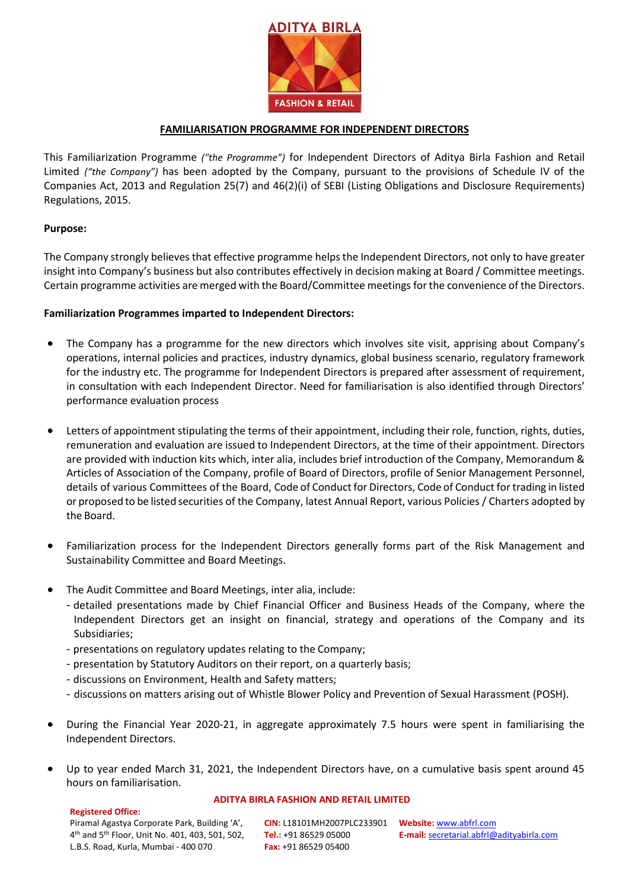

# **FAMILIARISATION PROGRAMME FOR INDEPENDENT DIRECTORS**

This Familiarization Programme *("the Programme")* for Independent Directors of Aditya Birla Fashion and Retail Limited *("the Company")* has been adopted by the Company, pursuant to the provisions of Schedule IV of the Companies Act, 2013 and Regulation 25(7) and 46(2)(i) of SEBI (Listing Obligations and Disclosure Requirements) Regulations, 2015.

# **Purpose:**

The Company strongly believes that effective programme helps the Independent Directors, not only to have greater insight into Company's business but also contributes effectively in decision making at Board / Committee meetings. Certain programme activities are merged with the Board/Committee meetings for the convenience of the Directors.

# **Familiarization Programmes imparted to Independent Directors:**

- The Company has a programme for the new directors which involves site visit, apprising about Company's operations, internal policies and practices, industry dynamics, global business scenario, regulatory framework for the industry etc. The programme for Independent Directors is prepared after assessment of requirement, in consultation with each Independent Director. Need for familiarisation is also identified through Directors' performance evaluation process
- Letters of appointment stipulating the terms of their appointment, including their role, function, rights, duties, remuneration and evaluation are issued to Independent Directors, at the time of their appointment. Directors are provided with induction kits which, inter alia, includes brief introduction of the Company, Memorandum & Articles of Association of the Company, profile of Board of Directors, profile of Senior Management Personnel, details of various Committees of the Board, Code of Conduct for Directors, Code of Conduct fortrading in listed or proposed to be listed securities of the Company, latest Annual Report, various Policies / Charters adopted by the Board.
- Familiarization process for the Independent Directors generally forms part of the Risk Management and Sustainability Committee and Board Meetings.
- The Audit Committee and Board Meetings, inter alia, include:
	- detailed presentations made by Chief Financial Officer and Business Heads of the Company, where the Independent Directors get an insight on financial, strategy and operations of the Company and its Subsidiaries;
	- presentations on regulatory updates relating to the Company;
	- presentation by Statutory Auditors on their report, on a quarterly basis;
	- discussions on Environment, Health and Safety matters;
	- discussions on matters arising out of Whistle Blower Policy and Prevention of Sexual Harassment (POSH).
- During the Financial Year 2020-21, in aggregate approximately 7.5 hours were spent in familiarising the Independent Directors.
- Up to year ended March 31, 2021, the Independent Directors have, on a cumulative basis spent around 45 hours on familiarisation.

#### **Registered Office:**